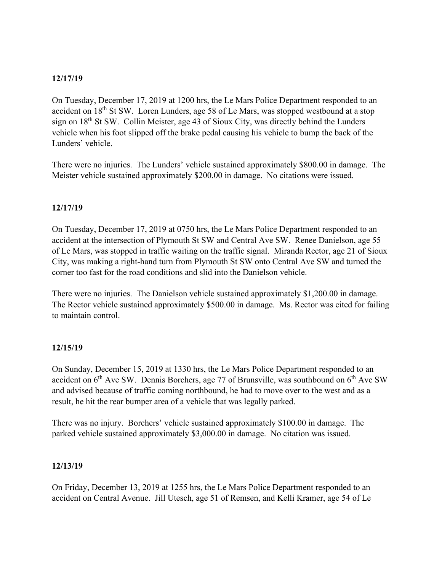## **12/17/19**

On Tuesday, December 17, 2019 at 1200 hrs, the Le Mars Police Department responded to an accident on 18th St SW. Loren Lunders, age 58 of Le Mars, was stopped westbound at a stop sign on 18th St SW. Collin Meister, age 43 of Sioux City, was directly behind the Lunders vehicle when his foot slipped off the brake pedal causing his vehicle to bump the back of the Lunders' vehicle.

There were no injuries. The Lunders' vehicle sustained approximately \$800.00 in damage. The Meister vehicle sustained approximately \$200.00 in damage. No citations were issued.

### **12/17/19**

On Tuesday, December 17, 2019 at 0750 hrs, the Le Mars Police Department responded to an accident at the intersection of Plymouth St SW and Central Ave SW. Renee Danielson, age 55 of Le Mars, was stopped in traffic waiting on the traffic signal. Miranda Rector, age 21 of Sioux City, was making a right-hand turn from Plymouth St SW onto Central Ave SW and turned the corner too fast for the road conditions and slid into the Danielson vehicle.

There were no injuries. The Danielson vehicle sustained approximately \$1,200.00 in damage. The Rector vehicle sustained approximately \$500.00 in damage. Ms. Rector was cited for failing to maintain control.

#### **12/15/19**

On Sunday, December 15, 2019 at 1330 hrs, the Le Mars Police Department responded to an accident on  $6<sup>th</sup>$  Ave SW. Dennis Borchers, age 77 of Brunsville, was southbound on  $6<sup>th</sup>$  Ave SW and advised because of traffic coming northbound, he had to move over to the west and as a result, he hit the rear bumper area of a vehicle that was legally parked.

There was no injury. Borchers' vehicle sustained approximately \$100.00 in damage. The parked vehicle sustained approximately \$3,000.00 in damage. No citation was issued.

#### **12/13/19**

On Friday, December 13, 2019 at 1255 hrs, the Le Mars Police Department responded to an accident on Central Avenue. Jill Utesch, age 51 of Remsen, and Kelli Kramer, age 54 of Le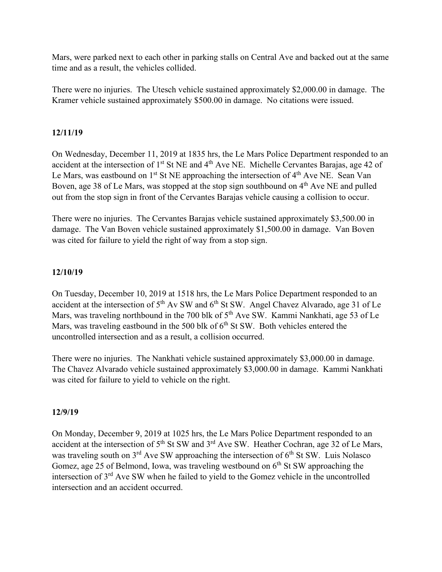Mars, were parked next to each other in parking stalls on Central Ave and backed out at the same time and as a result, the vehicles collided.

There were no injuries. The Utesch vehicle sustained approximately \$2,000.00 in damage. The Kramer vehicle sustained approximately \$500.00 in damage. No citations were issued.

# **12/11/19**

On Wednesday, December 11, 2019 at 1835 hrs, the Le Mars Police Department responded to an accident at the intersection of 1<sup>st</sup> St NE and 4<sup>th</sup> Ave NE. Michelle Cervantes Barajas, age 42 of Le Mars, was eastbound on  $1<sup>st</sup>$  St NE approaching the intersection of  $4<sup>th</sup>$  Ave NE. Sean Van Boven, age 38 of Le Mars, was stopped at the stop sign southbound on 4<sup>th</sup> Ave NE and pulled out from the stop sign in front of the Cervantes Barajas vehicle causing a collision to occur.

There were no injuries. The Cervantes Barajas vehicle sustained approximately \$3,500.00 in damage. The Van Boven vehicle sustained approximately \$1,500.00 in damage. Van Boven was cited for failure to yield the right of way from a stop sign.

# **12/10/19**

On Tuesday, December 10, 2019 at 1518 hrs, the Le Mars Police Department responded to an accident at the intersection of 5<sup>th</sup> Av SW and 6<sup>th</sup> St SW. Angel Chavez Alvarado, age 31 of Le Mars, was traveling northbound in the 700 blk of  $5<sup>th</sup>$  Ave SW. Kammi Nankhati, age 53 of Le Mars, was traveling eastbound in the 500 blk of  $6<sup>th</sup>$  St SW. Both vehicles entered the uncontrolled intersection and as a result, a collision occurred.

There were no injuries. The Nankhati vehicle sustained approximately \$3,000.00 in damage. The Chavez Alvarado vehicle sustained approximately \$3,000.00 in damage. Kammi Nankhati was cited for failure to yield to vehicle on the right.

# **12/9/19**

On Monday, December 9, 2019 at 1025 hrs, the Le Mars Police Department responded to an accident at the intersection of 5<sup>th</sup> St SW and 3<sup>rd</sup> Ave SW. Heather Cochran, age 32 of Le Mars, was traveling south on  $3^{rd}$  Ave SW approaching the intersection of  $6^{th}$  St SW. Luis Nolasco Gomez, age 25 of Belmond, Iowa, was traveling westbound on  $6<sup>th</sup>$  St SW approaching the intersection of  $3<sup>rd</sup>$  Ave SW when he failed to yield to the Gomez vehicle in the uncontrolled intersection and an accident occurred.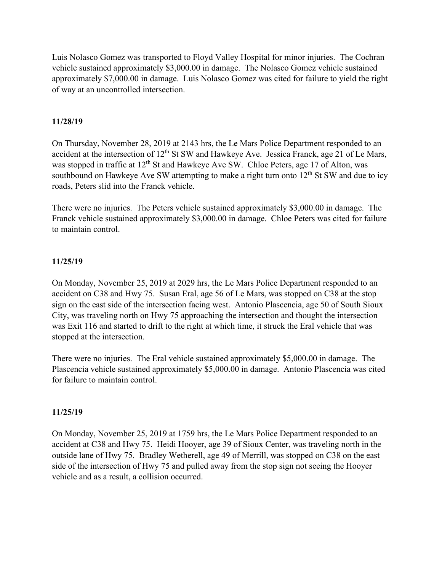Luis Nolasco Gomez was transported to Floyd Valley Hospital for minor injuries. The Cochran vehicle sustained approximately \$3,000.00 in damage. The Nolasco Gomez vehicle sustained approximately \$7,000.00 in damage. Luis Nolasco Gomez was cited for failure to yield the right of way at an uncontrolled intersection.

#### **11/28/19**

On Thursday, November 28, 2019 at 2143 hrs, the Le Mars Police Department responded to an accident at the intersection of 12<sup>th</sup> St SW and Hawkeye Ave. Jessica Franck, age 21 of Le Mars, was stopped in traffic at  $12<sup>th</sup>$  St and Hawkeye Ave SW. Chloe Peters, age 17 of Alton, was southbound on Hawkeye Ave SW attempting to make a right turn onto  $12<sup>th</sup>$  St SW and due to icy roads, Peters slid into the Franck vehicle.

There were no injuries. The Peters vehicle sustained approximately \$3,000.00 in damage. The Franck vehicle sustained approximately \$3,000.00 in damage. Chloe Peters was cited for failure to maintain control.

#### **11/25/19**

On Monday, November 25, 2019 at 2029 hrs, the Le Mars Police Department responded to an accident on C38 and Hwy 75. Susan Eral, age 56 of Le Mars, was stopped on C38 at the stop sign on the east side of the intersection facing west. Antonio Plascencia, age 50 of South Sioux City, was traveling north on Hwy 75 approaching the intersection and thought the intersection was Exit 116 and started to drift to the right at which time, it struck the Eral vehicle that was stopped at the intersection.

There were no injuries. The Eral vehicle sustained approximately \$5,000.00 in damage. The Plascencia vehicle sustained approximately \$5,000.00 in damage. Antonio Plascencia was cited for failure to maintain control.

#### **11/25/19**

On Monday, November 25, 2019 at 1759 hrs, the Le Mars Police Department responded to an accident at C38 and Hwy 75. Heidi Hooyer, age 39 of Sioux Center, was traveling north in the outside lane of Hwy 75. Bradley Wetherell, age 49 of Merrill, was stopped on C38 on the east side of the intersection of Hwy 75 and pulled away from the stop sign not seeing the Hooyer vehicle and as a result, a collision occurred.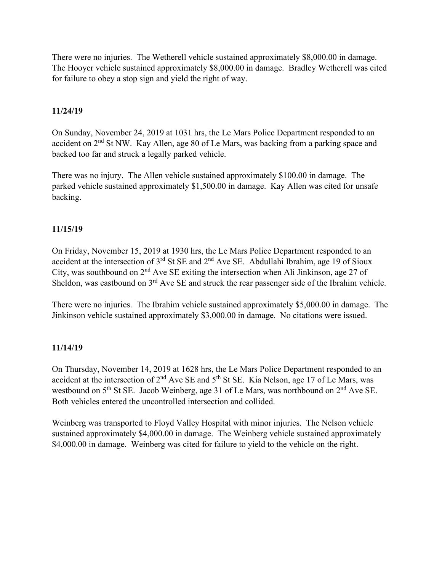There were no injuries. The Wetherell vehicle sustained approximately \$8,000.00 in damage. The Hooyer vehicle sustained approximately \$8,000.00 in damage. Bradley Wetherell was cited for failure to obey a stop sign and yield the right of way.

## **11/24/19**

On Sunday, November 24, 2019 at 1031 hrs, the Le Mars Police Department responded to an accident on  $2<sup>nd</sup>$  St NW. Kay Allen, age 80 of Le Mars, was backing from a parking space and backed too far and struck a legally parked vehicle.

There was no injury. The Allen vehicle sustained approximately \$100.00 in damage. The parked vehicle sustained approximately \$1,500.00 in damage. Kay Allen was cited for unsafe backing.

### **11/15/19**

On Friday, November 15, 2019 at 1930 hrs, the Le Mars Police Department responded to an accident at the intersection of  $3<sup>rd</sup>$  St SE and  $2<sup>nd</sup>$  Ave SE. Abdullahi Ibrahim, age 19 of Sioux City, was southbound on  $2<sup>nd</sup>$  Ave SE exiting the intersection when Ali Jinkinson, age 27 of Sheldon, was eastbound on  $3<sup>rd</sup>$  Ave SE and struck the rear passenger side of the Ibrahim vehicle.

There were no injuries. The Ibrahim vehicle sustained approximately \$5,000.00 in damage. The Jinkinson vehicle sustained approximately \$3,000.00 in damage. No citations were issued.

#### **11/14/19**

On Thursday, November 14, 2019 at 1628 hrs, the Le Mars Police Department responded to an accident at the intersection of  $2<sup>nd</sup>$  Ave SE and  $5<sup>th</sup>$  St SE. Kia Nelson, age 17 of Le Mars, was westbound on  $5<sup>th</sup>$  St SE. Jacob Weinberg, age 31 of Le Mars, was northbound on  $2<sup>nd</sup>$  Ave SE. Both vehicles entered the uncontrolled intersection and collided.

Weinberg was transported to Floyd Valley Hospital with minor injuries. The Nelson vehicle sustained approximately \$4,000.00 in damage. The Weinberg vehicle sustained approximately \$4,000.00 in damage. Weinberg was cited for failure to yield to the vehicle on the right.